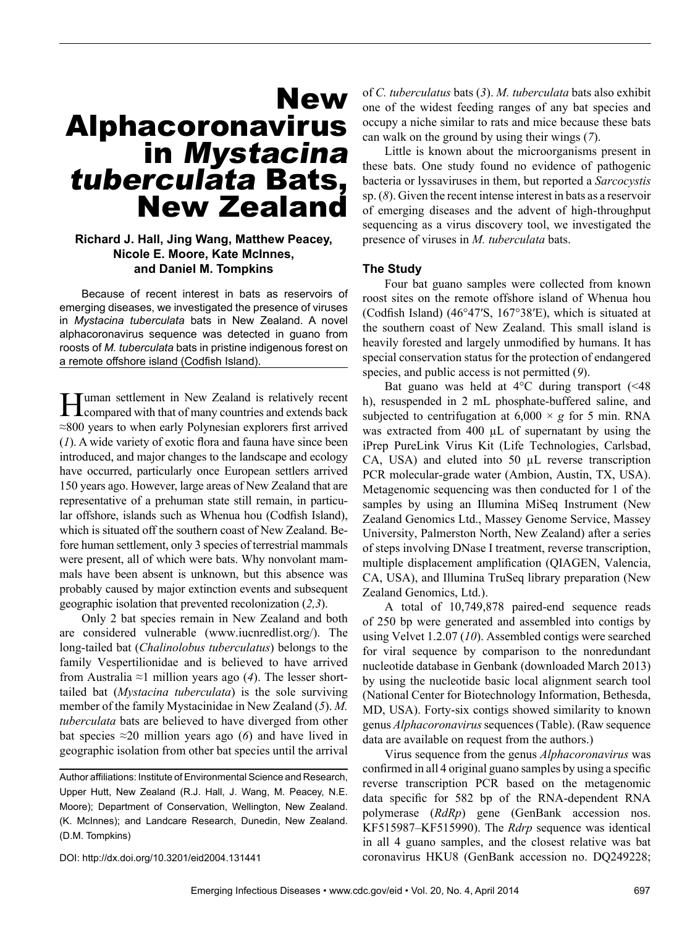# New Alphacoronavirus<br>in Mystacina tuberculata Bats, New Zealand

# **Richard J. Hall, Jing Wang, Matthew Peacey, Nicole E. Moore, Kate McInnes, and Daniel M. Tompkins**

Because of recent interest in bats as reservoirs of emerging diseases, we investigated the presence of viruses in *Mystacina tuberculata* bats in New Zealand. A novel alphacoronavirus sequence was detected in guano from roosts of *M. tuberculata* bats in pristine indigenous forest on a remote offshore island (Codfish Island).

**Human settlement in New Zealand is relatively recent** compared with that of many countries and extends back ≈800 years to when early Polynesian explorers first arrived (*1*). A wide variety of exotic flora and fauna have since been introduced, and major changes to the landscape and ecology have occurred, particularly once European settlers arrived 150 years ago. However, large areas of New Zealand that are representative of a prehuman state still remain, in particular offshore, islands such as Whenua hou (Codfish Island), which is situated off the southern coast of New Zealand. Before human settlement, only 3 species of terrestrial mammals were present, all of which were bats. Why nonvolant mammals have been absent is unknown, but this absence was probably caused by major extinction events and subsequent geographic isolation that prevented recolonization (*2,3*).

Only 2 bat species remain in New Zealand and both are considered vulnerable (www.iucnredlist.org/). The long-tailed bat (*Chalinolobus tuberculatus*) belongs to the family Vespertilionidae and is believed to have arrived from Australia ≈1 million years ago (*4*). The lesser shorttailed bat (*Mystacina tuberculata*) is the sole surviving member of the family Mystacinidae in New Zealand (*5*). *M. tuberculata* bats are believed to have diverged from other bat species  $\approx$ 20 million years ago (6) and have lived in geographic isolation from other bat species until the arrival

DOI: http://dx.doi.org/10.3201/eid2004.131441

of *C. tuberculatus* bats (*3*). *M. tuberculata* bats also exhibit one of the widest feeding ranges of any bat species and occupy a niche similar to rats and mice because these bats can walk on the ground by using their wings (*7*).

Little is known about the microorganisms present in these bats. One study found no evidence of pathogenic bacteria or lyssaviruses in them, but reported a *Sarcocystis* sp. (*8*). Given the recent intense interest in bats as a reservoir of emerging diseases and the advent of high-throughput sequencing as a virus discovery tool, we investigated the presence of viruses in *M. tuberculata* bats.

#### **The Study**

Four bat guano samples were collected from known roost sites on the remote offshore island of Whenua hou (Codfish Island) (46°47′S, 167°38′E), which is situated at the southern coast of New Zealand. This small island is heavily forested and largely unmodified by humans. It has special conservation status for the protection of endangered species, and public access is not permitted (*9*).

Bat guano was held at  $4^{\circ}$ C during transport (<48) h), resuspended in 2 mL phosphate-buffered saline, and subjected to centrifugation at  $6,000 \times g$  for 5 min. RNA was extracted from 400  $\mu$ L of supernatant by using the iPrep PureLink Virus Kit (Life Technologies, Carlsbad, CA, USA) and eluted into 50 µL reverse transcription PCR molecular-grade water (Ambion, Austin, TX, USA). Metagenomic sequencing was then conducted for 1 of the samples by using an Illumina MiSeq Instrument (New Zealand Genomics Ltd., Massey Genome Service, Massey University, Palmerston North, New Zealand) after a series of steps involving DNase I treatment, reverse transcription, multiple displacement amplification (QIAGEN, Valencia, CA, USA), and Illumina TruSeq library preparation (New Zealand Genomics, Ltd.).

A total of 10,749,878 paired-end sequence reads of 250 bp were generated and assembled into contigs by using Velvet 1.2.07 (*10*). Assembled contigs were searched for viral sequence by comparison to the nonredundant nucleotide database in Genbank (downloaded March 2013) by using the nucleotide basic local alignment search tool (National Center for Biotechnology Information, Bethesda, MD, USA). Forty-six contigs showed similarity to known genus *Alphacoronavirus* sequences (Table). (Raw sequence data are available on request from the authors.)

Virus sequence from the genus *Alphacoronavirus* was confirmed in all 4 original guano samples by using a specific reverse transcription PCR based on the metagenomic data specific for 582 bp of the RNA-dependent RNA polymerase (*RdRp*) gene (GenBank accession nos. KF515987–KF515990). The *Rdrp* sequence was identical in all 4 guano samples, and the closest relative was bat coronavirus HKU8 (GenBank accession no. DQ249228;

Author affiliations: Institute of Environmental Science and Research, Upper Hutt, New Zealand (R.J. Hall, J. Wang, M. Peacey, N.E. Moore); Department of Conservation, Wellington, New Zealand. (K. McInnes); and Landcare Research, Dunedin, New Zealand. (D.M. Tompkins)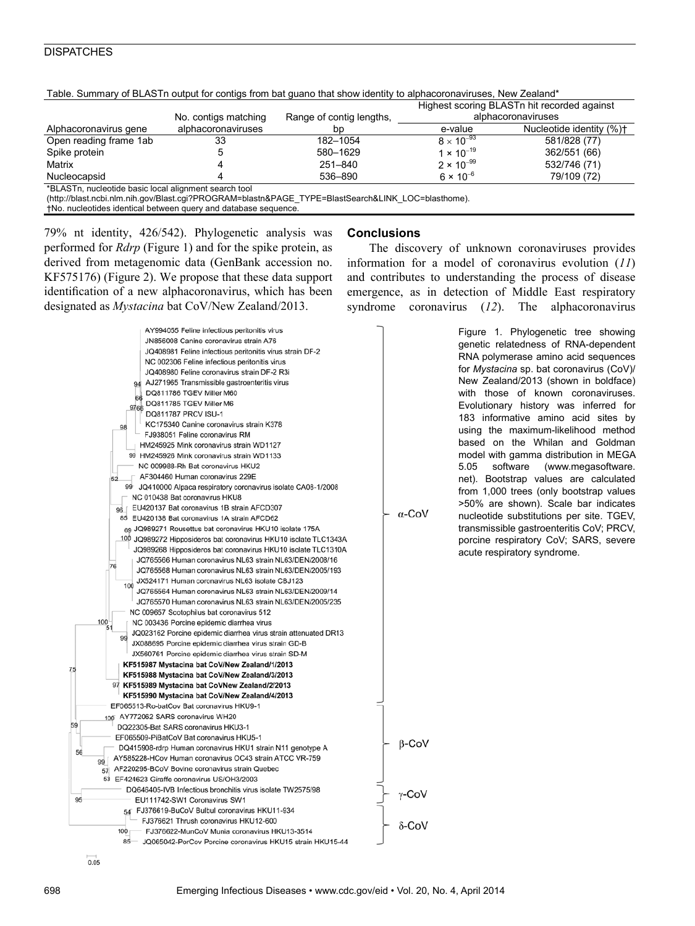# **DISPATCHES**

|                                                       |                      |                          | Highest scoring BLASTn hit recorded against<br>alphacoronaviruses |                          |
|-------------------------------------------------------|----------------------|--------------------------|-------------------------------------------------------------------|--------------------------|
|                                                       | No. contigs matching | Range of contig lengths, |                                                                   |                          |
| Alphacoronavirus gene                                 | alphacoronaviruses   | bp                       | e-value                                                           | Nucleotide identity (%)+ |
| Open reading frame 1ab                                | 33                   | 182-1054                 | $8 \times 10^{-93}$                                               | 581/828 (77)             |
| Spike protein                                         |                      | 580-1629                 | 1 $\times$ 10 <sup>-19</sup>                                      | 362/551 (66)             |
| Matrix                                                |                      | 251-840                  | $2 \times 10^{-99}$                                               | 532/746 (71)             |
| Nucleocapsid                                          |                      | 536-890                  | 6 $\times$ 10 <sup>-6</sup>                                       | 79/109 (72)              |
| *BLASTn, nucleotide basic local alignment search tool |                      |                          |                                                                   |                          |

Table. Summary of BLASTn output for contigs from bat guano that show identity to alphacoronaviruses. New Zealand\*

\*BLASTn, nucleotide basic local alignment search tool

(http://blast.ncbi.nlm.nih.gov/Blast.cgi?PROGRAM=blastn&PAGE\_TYPE=BlastSearch&LINK\_LOC=blasthome).

†No. nucleotides identical between query and database sequence.

79% nt identity, 426/542). Phylogenetic analysis was performed for *Rdrp* (Figure 1) and for the spike protein, as derived from metagenomic data (GenBank accession no. KF575176) (Figure 2). We propose that these data support identification of a new alphacoronavirus, which has been designated as *Mystacina* bat CoV/New Zealand/2013.



## **Conclusions**

The discovery of unknown coronaviruses provides information for a model of coronavirus evolution (*11*) and contributes to understanding the process of disease emergence, as in detection of Middle East respiratory syndrome coronavirus (*12*). The alphacoronavirus

> Figure 1. Phylogenetic tree showing genetic relatedness of RNA-dependent RNA polymerase amino acid sequences for *Mystacina* sp. bat coronavirus (CoV)/ New Zealand/2013 (shown in boldface) with those of known coronaviruses. Evolutionary history was inferred for 183 informative amino acid sites by using the maximum-likelihood method based on the Whilan and Goldman model with gamma distribution in MEGA 5.05 software (www.megasoftware. net). Bootstrap values are calculated from 1,000 trees (only bootstrap values >50% are shown). Scale bar indicates nucleotide substitutions per site. TGEV, transmissible gastroenteritis CoV; PRCV, porcine respiratory CoV; SARS, severe acute respiratory syndrome.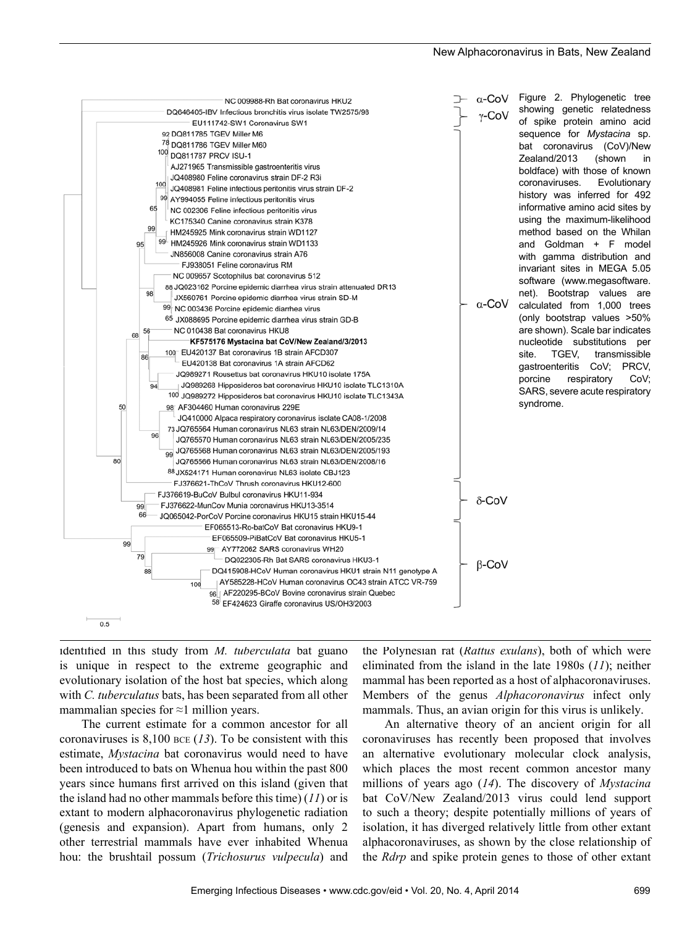

identified in this study from *M. tuberculata* bat guano is unique in respect to the extreme geographic and evolutionary isolation of the host bat species, which along with *C. tuberculatus* bats, has been separated from all other mammalian species for  $\approx$ 1 million years.

The current estimate for a common ancestor for all coronaviruses is 8,100 bce (*13*). To be consistent with this estimate, *Mystacina* bat coronavirus would need to have been introduced to bats on Whenua hou within the past 800 years since humans first arrived on this island (given that the island had no other mammals before this time) (*11*) or is extant to modern alphacoronavirus phylogenetic radiation (genesis and expansion). Apart from humans, only 2 other terrestrial mammals have ever inhabited Whenua hou: the brushtail possum (*Trichosurus vulpecula*) and

the Polynesian rat (*Rattus exulans*), both of which were eliminated from the island in the late 1980s (*11*); neither mammal has been reported as a host of alphacoronaviruses. Members of the genus *Alphacoronavirus* infect only mammals. Thus, an avian origin for this virus is unlikely.

An alternative theory of an ancient origin for all coronaviruses has recently been proposed that involves an alternative evolutionary molecular clock analysis, which places the most recent common ancestor many millions of years ago (*14*). The discovery of *Mystacina* bat CoV/New Zealand/2013 virus could lend support to such a theory; despite potentially millions of years of isolation, it has diverged relatively little from other extant alphacoronaviruses, as shown by the close relationship of the *Rdrp* and spike protein genes to those of other extant